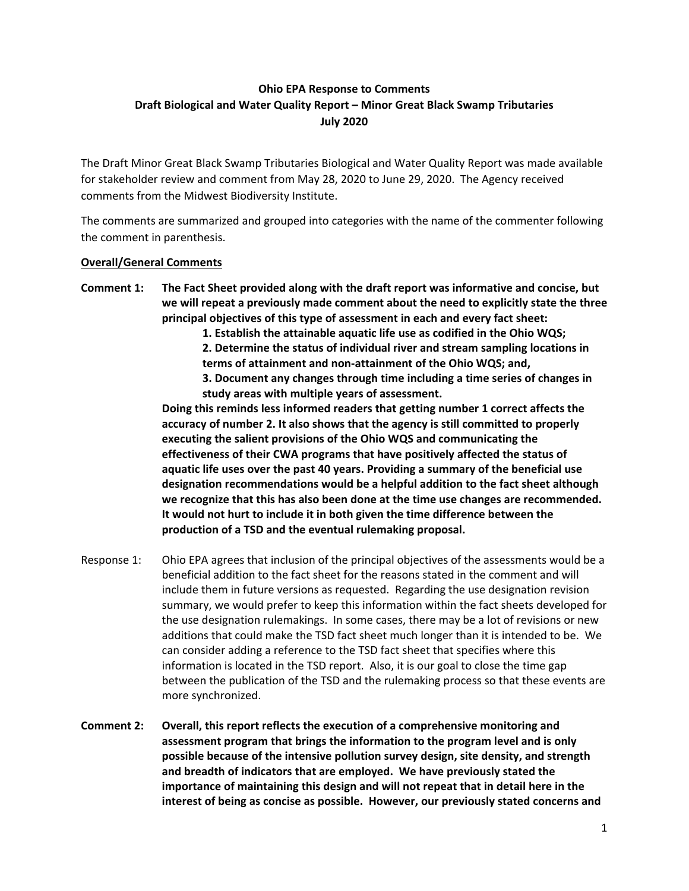# **Ohio EPA Response to Comments Draft Biological and Water Quality Report – Minor Great Black Swamp Tributaries July 2020**

The Draft Minor Great Black Swamp Tributaries Biological and Water Quality Report was made available for stakeholder review and comment from May 28, 2020 to June 29, 2020. The Agency received comments from the Midwest Biodiversity Institute.

The comments are summarized and grouped into categories with the name of the commenter following the comment in parenthesis.

### **Overall/General Comments**

- **Comment 1: The Fact Sheet provided along with the draft report was informative and concise, but we will repeat a previously made comment about the need to explicitly state the three principal objectives of this type of assessment in each and every fact sheet:**
	- **1. Establish the attainable aquatic life use as codified in the Ohio WQS;**
	- **2. Determine the status of individual river and stream sampling locations in terms of attainment and non-attainment of the Ohio WQS; and,**
	- **3. Document any changes through time including a time series of changes in study areas with multiple years of assessment.**

**Doing this reminds less informed readers that getting number 1 correct affects the accuracy of number 2. It also shows that the agency is still committed to properly executing the salient provisions of the Ohio WQS and communicating the effectiveness of their CWA programs that have positively affected the status of aquatic life uses over the past 40 years. Providing a summary of the beneficial use designation recommendations would be a helpful addition to the fact sheet although we recognize that this has also been done at the time use changes are recommended. It would not hurt to include it in both given the time difference between the production of a TSD and the eventual rulemaking proposal.**

- Response 1: Ohio EPA agrees that inclusion of the principal objectives of the assessments would be a beneficial addition to the fact sheet for the reasons stated in the comment and will include them in future versions as requested. Regarding the use designation revision summary, we would prefer to keep this information within the fact sheets developed for the use designation rulemakings. In some cases, there may be a lot of revisions or new additions that could make the TSD fact sheet much longer than it is intended to be. We can consider adding a reference to the TSD fact sheet that specifies where this information is located in the TSD report. Also, it is our goal to close the time gap between the publication of the TSD and the rulemaking process so that these events are more synchronized.
- **Comment 2: Overall, this report reflects the execution of a comprehensive monitoring and assessment program that brings the information to the program level and is only possible because of the intensive pollution survey design, site density, and strength and breadth of indicators that are employed. We have previously stated the importance of maintaining this design and will not repeat that in detail here in the interest of being as concise as possible. However, our previously stated concerns and**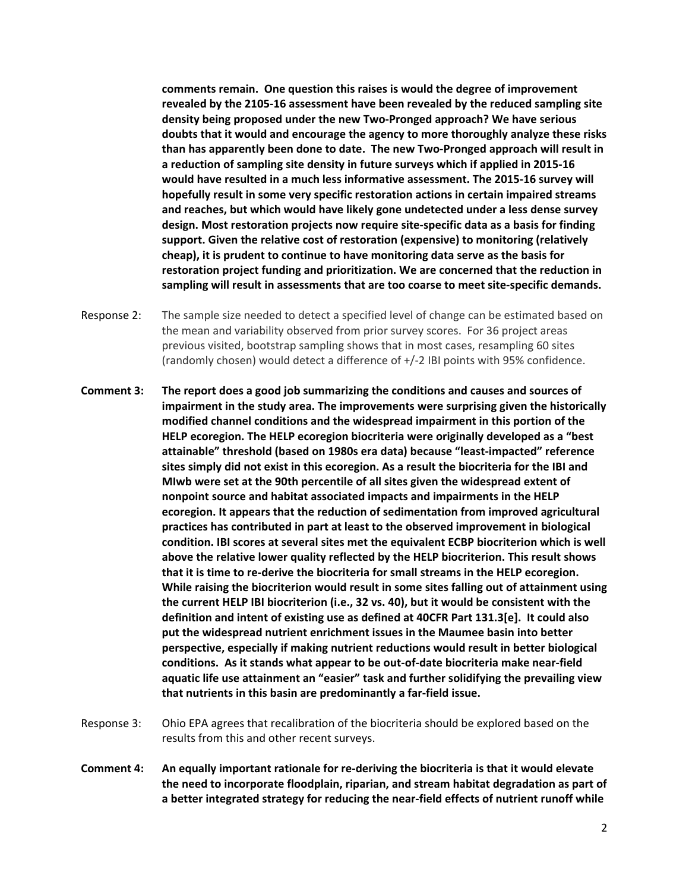**comments remain. One question this raises is would the degree of improvement revealed by the 2105-16 assessment have been revealed by the reduced sampling site density being proposed under the new Two-Pronged approach? We have serious doubts that it would and encourage the agency to more thoroughly analyze these risks than has apparently been done to date. The new Two-Pronged approach will result in a reduction of sampling site density in future surveys which if applied in 2015-16 would have resulted in a much less informative assessment. The 2015-16 survey will hopefully result in some very specific restoration actions in certain impaired streams and reaches, but which would have likely gone undetected under a less dense survey design. Most restoration projects now require site-specific data as a basis for finding support. Given the relative cost of restoration (expensive) to monitoring (relatively cheap), it is prudent to continue to have monitoring data serve as the basis for restoration project funding and prioritization. We are concerned that the reduction in sampling will result in assessments that are too coarse to meet site-specific demands.**

- Response 2: The sample size needed to detect a specified level of change can be estimated based on the mean and variability observed from prior survey scores. For 36 project areas previous visited, bootstrap sampling shows that in most cases, resampling 60 sites (randomly chosen) would detect a difference of +/-2 IBI points with 95% confidence.
- **Comment 3: The report does a good job summarizing the conditions and causes and sources of impairment in the study area. The improvements were surprising given the historically modified channel conditions and the widespread impairment in this portion of the HELP ecoregion. The HELP ecoregion biocriteria were originally developed as a "best attainable" threshold (based on 1980s era data) because "least-impacted" reference sites simply did not exist in this ecoregion. As a result the biocriteria for the IBI and MIwb were set at the 90th percentile of all sites given the widespread extent of nonpoint source and habitat associated impacts and impairments in the HELP ecoregion. It appears that the reduction of sedimentation from improved agricultural practices has contributed in part at least to the observed improvement in biological condition. IBI scores at several sites met the equivalent ECBP biocriterion which is well above the relative lower quality reflected by the HELP biocriterion. This result shows that it is time to re-derive the biocriteria for small streams in the HELP ecoregion. While raising the biocriterion would result in some sites falling out of attainment using the current HELP IBI biocriterion (i.e., 32 vs. 40), but it would be consistent with the definition and intent of existing use as defined at 40CFR Part 131.3[e]. It could also put the widespread nutrient enrichment issues in the Maumee basin into better perspective, especially if making nutrient reductions would result in better biological conditions. As it stands what appear to be out-of-date biocriteria make near-field aquatic life use attainment an "easier" task and further solidifying the prevailing view that nutrients in this basin are predominantly a far-field issue.**
- Response 3: Ohio EPA agrees that recalibration of the biocriteria should be explored based on the results from this and other recent surveys.
- **Comment 4: An equally important rationale for re-deriving the biocriteria is that it would elevate the need to incorporate floodplain, riparian, and stream habitat degradation as part of a better integrated strategy for reducing the near-field effects of nutrient runoff while**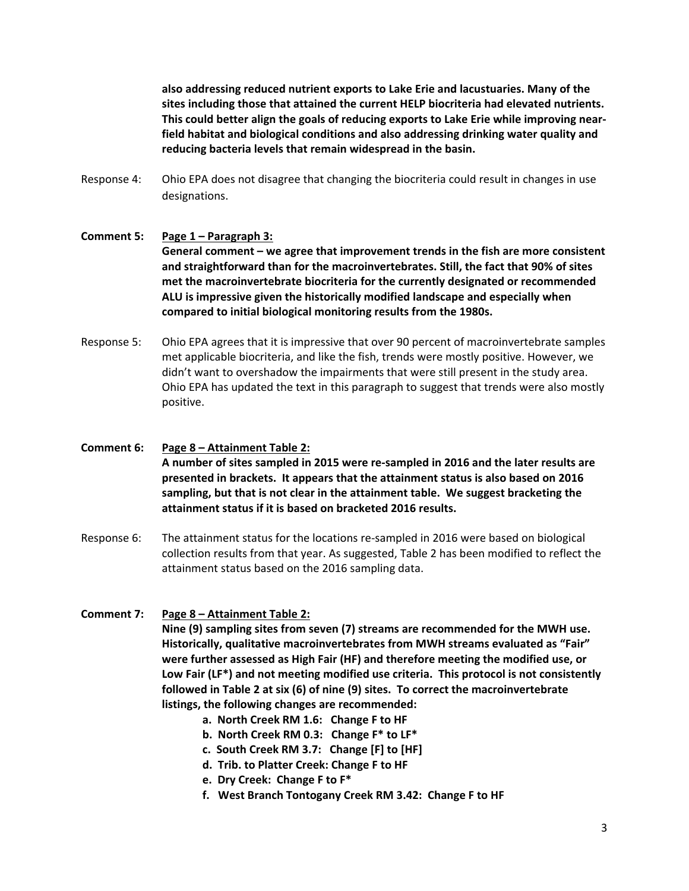**also addressing reduced nutrient exports to Lake Erie and lacustuaries. Many of the sites including those that attained the current HELP biocriteria had elevated nutrients. This could better align the goals of reducing exports to Lake Erie while improving nearfield habitat and biological conditions and also addressing drinking water quality and reducing bacteria levels that remain widespread in the basin.**

Response 4: Ohio EPA does not disagree that changing the biocriteria could result in changes in use designations.

### **Comment 5: Page 1 – Paragraph 3: General comment – we agree that improvement trends in the fish are more consistent and straightforward than for the macroinvertebrates. Still, the fact that 90% of sites met the macroinvertebrate biocriteria for the currently designated or recommended ALU is impressive given the historically modified landscape and especially when compared to initial biological monitoring results from the 1980s.**

Response 5: Ohio EPA agrees that it is impressive that over 90 percent of macroinvertebrate samples met applicable biocriteria, and like the fish, trends were mostly positive. However, we didn't want to overshadow the impairments that were still present in the study area. Ohio EPA has updated the text in this paragraph to suggest that trends were also mostly positive.

## **Comment 6: Page 8 – Attainment Table 2: A number of sites sampled in 2015 were re-sampled in 2016 and the later results are presented in brackets. It appears that the attainment status is also based on 2016 sampling, but that is not clear in the attainment table. We suggest bracketing the attainment status if it is based on bracketed 2016 results.**

Response 6: The attainment status for the locations re-sampled in 2016 were based on biological collection results from that year. As suggested, Table 2 has been modified to reflect the attainment status based on the 2016 sampling data.

### **Comment 7: Page 8 – Attainment Table 2:**

**Nine (9) sampling sites from seven (7) streams are recommended for the MWH use. Historically, qualitative macroinvertebrates from MWH streams evaluated as "Fair" were further assessed as High Fair (HF) and therefore meeting the modified use, or Low Fair (LF\*) and not meeting modified use criteria. This protocol is not consistently followed in Table 2 at six (6) of nine (9) sites. To correct the macroinvertebrate listings, the following changes are recommended:**

- **a. North Creek RM 1.6: Change F to HF**
- **b. North Creek RM 0.3: Change F\* to LF\***
- **c. South Creek RM 3.7: Change [F] to [HF]**
- **d. Trib. to Platter Creek: Change F to HF**
- **e. Dry Creek: Change F to F\***
- **f. West Branch Tontogany Creek RM 3.42: Change F to HF**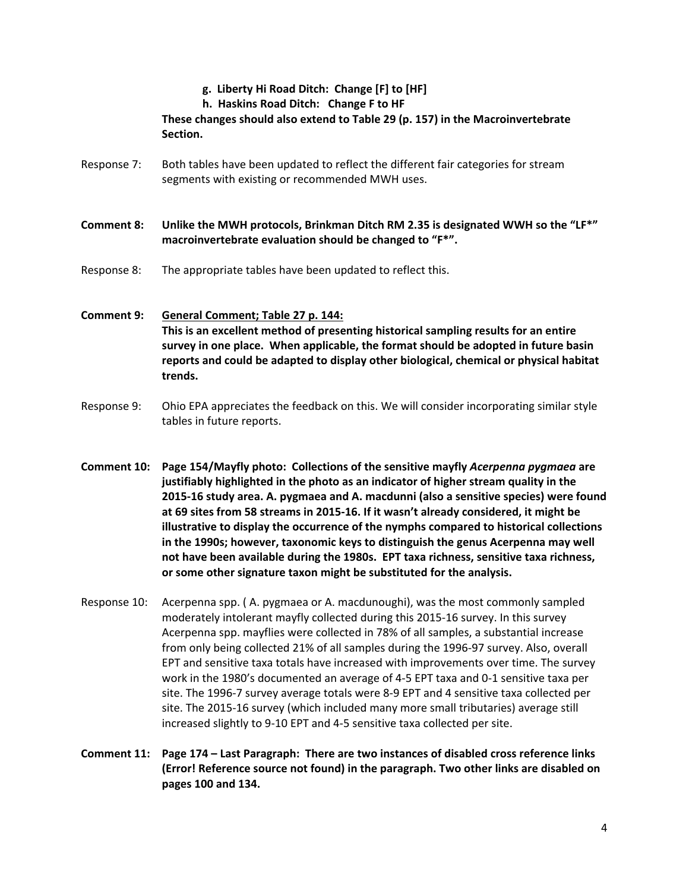### **g. Liberty Hi Road Ditch: Change [F] to [HF]**

**h. Haskins Road Ditch: Change F to HF**

**These changes should also extend to Table 29 (p. 157) in the Macroinvertebrate Section.**

Response 7: Both tables have been updated to reflect the different fair categories for stream segments with existing or recommended MWH uses.

**Comment 8: Unlike the MWH protocols, Brinkman Ditch RM 2.35 is designated WWH so the "LF\*" macroinvertebrate evaluation should be changed to "F\*".**

Response 8: The appropriate tables have been updated to reflect this.

**Comment 9: General Comment; Table 27 p. 144: This is an excellent method of presenting historical sampling results for an entire survey in one place. When applicable, the format should be adopted in future basin reports and could be adapted to display other biological, chemical or physical habitat trends.**

- Response 9: Ohio EPA appreciates the feedback on this. We will consider incorporating similar style tables in future reports.
- **Comment 10: Page 154/Mayfly photo: Collections of the sensitive mayfly** *Acerpenna pygmaea* **are justifiably highlighted in the photo as an indicator of higher stream quality in the 2015-16 study area. A. pygmaea and A. macdunni (also a sensitive species) were found at 69 sites from 58 streams in 2015-16. If it wasn't already considered, it might be illustrative to display the occurrence of the nymphs compared to historical collections in the 1990s; however, taxonomic keys to distinguish the genus Acerpenna may well not have been available during the 1980s. EPT taxa richness, sensitive taxa richness, or some other signature taxon might be substituted for the analysis.**
- Response 10: Acerpenna spp. ( A. pygmaea or A. macdunoughi), was the most commonly sampled moderately intolerant mayfly collected during this 2015-16 survey. In this survey Acerpenna spp. mayflies were collected in 78% of all samples, a substantial increase from only being collected 21% of all samples during the 1996-97 survey. Also, overall EPT and sensitive taxa totals have increased with improvements over time. The survey work in the 1980's documented an average of 4-5 EPT taxa and 0-1 sensitive taxa per site. The 1996-7 survey average totals were 8-9 EPT and 4 sensitive taxa collected per site. The 2015-16 survey (which included many more small tributaries) average still increased slightly to 9-10 EPT and 4-5 sensitive taxa collected per site.
- **Comment 11: Page 174 – Last Paragraph: There are two instances of disabled cross reference links (Error! Reference source not found) in the paragraph. Two other links are disabled on pages 100 and 134.**